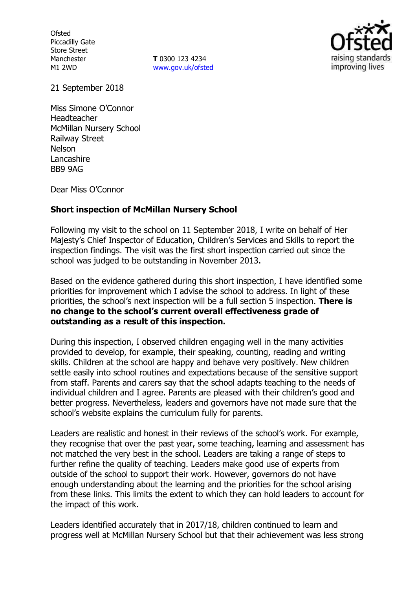**Ofsted** Piccadilly Gate Store Street Manchester M1 2WD

**T** 0300 123 4234 www.gov.uk/ofsted



21 September 2018

Miss Simone O'Connor Headteacher McMillan Nursery School Railway Street Nelson **Lancashire** BB9 9AG

Dear Miss O'Connor

### **Short inspection of McMillan Nursery School**

Following my visit to the school on 11 September 2018, I write on behalf of Her Majesty's Chief Inspector of Education, Children's Services and Skills to report the inspection findings. The visit was the first short inspection carried out since the school was judged to be outstanding in November 2013.

Based on the evidence gathered during this short inspection, I have identified some priorities for improvement which I advise the school to address. In light of these priorities, the school's next inspection will be a full section 5 inspection. **There is no change to the school's current overall effectiveness grade of outstanding as a result of this inspection.**

During this inspection, I observed children engaging well in the many activities provided to develop, for example, their speaking, counting, reading and writing skills. Children at the school are happy and behave very positively. New children settle easily into school routines and expectations because of the sensitive support from staff. Parents and carers say that the school adapts teaching to the needs of individual children and I agree. Parents are pleased with their children's good and better progress. Nevertheless, leaders and governors have not made sure that the school's website explains the curriculum fully for parents.

Leaders are realistic and honest in their reviews of the school's work. For example, they recognise that over the past year, some teaching, learning and assessment has not matched the very best in the school. Leaders are taking a range of steps to further refine the quality of teaching. Leaders make good use of experts from outside of the school to support their work. However, governors do not have enough understanding about the learning and the priorities for the school arising from these links. This limits the extent to which they can hold leaders to account for the impact of this work.

Leaders identified accurately that in 2017/18, children continued to learn and progress well at McMillan Nursery School but that their achievement was less strong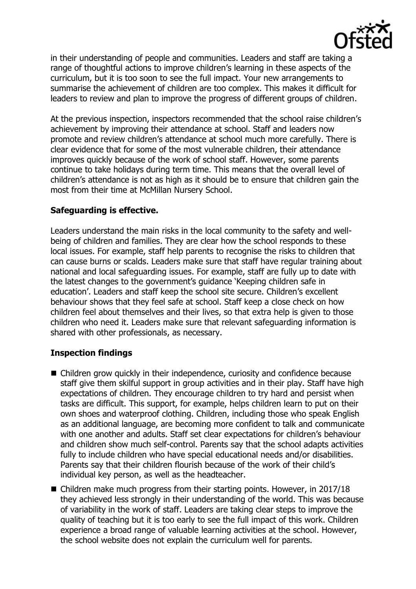

in their understanding of people and communities. Leaders and staff are taking a range of thoughtful actions to improve children's learning in these aspects of the curriculum, but it is too soon to see the full impact. Your new arrangements to summarise the achievement of children are too complex. This makes it difficult for leaders to review and plan to improve the progress of different groups of children.

At the previous inspection, inspectors recommended that the school raise children's achievement by improving their attendance at school. Staff and leaders now promote and review children's attendance at school much more carefully. There is clear evidence that for some of the most vulnerable children, their attendance improves quickly because of the work of school staff. However, some parents continue to take holidays during term time. This means that the overall level of children's attendance is not as high as it should be to ensure that children gain the most from their time at McMillan Nursery School.

# **Safeguarding is effective.**

Leaders understand the main risks in the local community to the safety and wellbeing of children and families. They are clear how the school responds to these local issues. For example, staff help parents to recognise the risks to children that can cause burns or scalds. Leaders make sure that staff have regular training about national and local safeguarding issues. For example, staff are fully up to date with the latest changes to the government's guidance 'Keeping children safe in education'. Leaders and staff keep the school site secure. Children's excellent behaviour shows that they feel safe at school. Staff keep a close check on how children feel about themselves and their lives, so that extra help is given to those children who need it. Leaders make sure that relevant safeguarding information is shared with other professionals, as necessary.

# **Inspection findings**

- Children grow quickly in their independence, curiosity and confidence because staff give them skilful support in group activities and in their play. Staff have high expectations of children. They encourage children to try hard and persist when tasks are difficult. This support, for example, helps children learn to put on their own shoes and waterproof clothing. Children, including those who speak English as an additional language, are becoming more confident to talk and communicate with one another and adults. Staff set clear expectations for children's behaviour and children show much self-control. Parents say that the school adapts activities fully to include children who have special educational needs and/or disabilities. Parents say that their children flourish because of the work of their child's individual key person, as well as the headteacher.
- **E** Children make much progress from their starting points. However, in 2017/18 they achieved less strongly in their understanding of the world. This was because of variability in the work of staff. Leaders are taking clear steps to improve the quality of teaching but it is too early to see the full impact of this work. Children experience a broad range of valuable learning activities at the school. However, the school website does not explain the curriculum well for parents.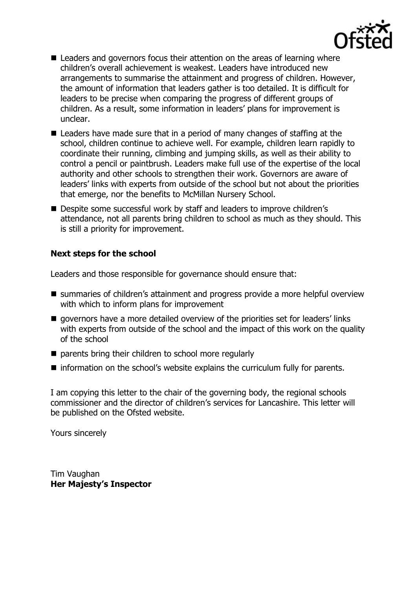

- Leaders and governors focus their attention on the areas of learning where children's overall achievement is weakest. Leaders have introduced new arrangements to summarise the attainment and progress of children. However, the amount of information that leaders gather is too detailed. It is difficult for leaders to be precise when comparing the progress of different groups of children. As a result, some information in leaders' plans for improvement is unclear.
- Leaders have made sure that in a period of many changes of staffing at the school, children continue to achieve well. For example, children learn rapidly to coordinate their running, climbing and jumping skills, as well as their ability to control a pencil or paintbrush. Leaders make full use of the expertise of the local authority and other schools to strengthen their work. Governors are aware of leaders' links with experts from outside of the school but not about the priorities that emerge, nor the benefits to McMillan Nursery School.
- Despite some successful work by staff and leaders to improve children's attendance, not all parents bring children to school as much as they should. This is still a priority for improvement.

## **Next steps for the school**

Leaders and those responsible for governance should ensure that:

- summaries of children's attainment and progress provide a more helpful overview with which to inform plans for improvement
- qovernors have a more detailed overview of the priorities set for leaders' links with experts from outside of the school and the impact of this work on the quality of the school
- $\blacksquare$  parents bring their children to school more regularly
- information on the school's website explains the curriculum fully for parents.

I am copying this letter to the chair of the governing body, the regional schools commissioner and the director of children's services for Lancashire. This letter will be published on the Ofsted website.

Yours sincerely

Tim Vaughan **Her Majesty's Inspector**